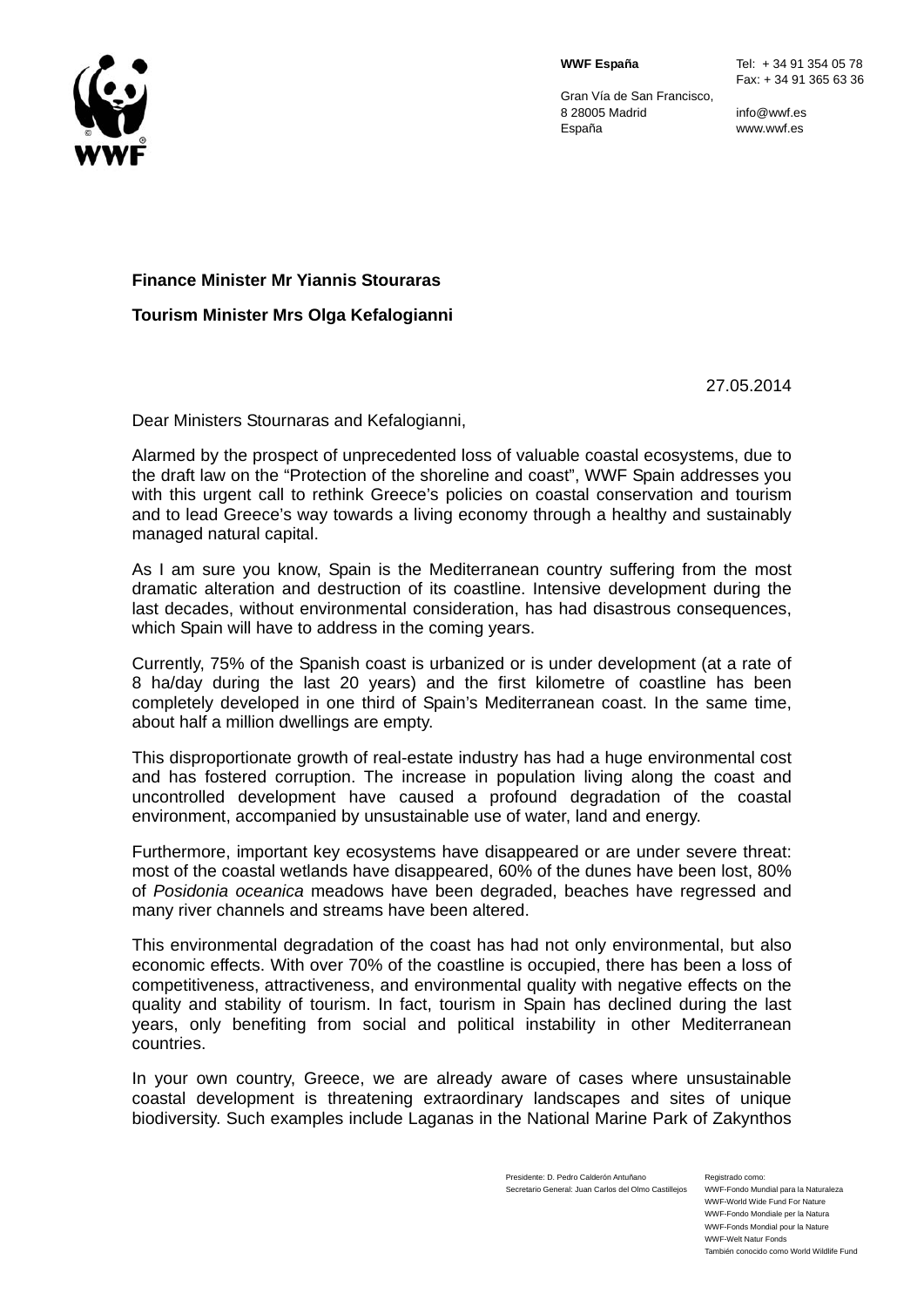

Gran Vía de San Francisco, 8 28005 Madrid España

info@wwf.es www.wwf.es

## **Finance Minister Mr Yiannis Stouraras**

**Tourism Minister Mrs Olga Kefalogianni** 

27.05.2014

Dear Ministers Stournaras and Kefalogianni,

Alarmed by the prospect of unprecedented loss of valuable coastal ecosystems, due to the draft law on the "Protection of the shoreline and coast", WWF Spain addresses you with this urgent call to rethink Greece's policies on coastal conservation and tourism and to lead Greece's way towards a living economy through a healthy and sustainably managed natural capital.

As I am sure you know, Spain is the Mediterranean country suffering from the most dramatic alteration and destruction of its coastline. Intensive development during the last decades, without environmental consideration, has had disastrous consequences, which Spain will have to address in the coming years.

Currently, 75% of the Spanish coast is urbanized or is under development (at a rate of 8 ha/day during the last 20 years) and the first kilometre of coastline has been completely developed in one third of Spain's Mediterranean coast. In the same time, about half a million dwellings are empty.

This disproportionate growth of real-estate industry has had a huge environmental cost and has fostered corruption. The increase in population living along the coast and uncontrolled development have caused a profound degradation of the coastal environment, accompanied by unsustainable use of water, land and energy.

Furthermore, important key ecosystems have disappeared or are under severe threat: most of the coastal wetlands have disappeared, 60% of the dunes have been lost, 80% of *Posidonia oceanica* meadows have been degraded, beaches have regressed and many river channels and streams have been altered.

This environmental degradation of the coast has had not only environmental, but also economic effects. With over 70% of the coastline is occupied, there has been a loss of competitiveness, attractiveness, and environmental quality with negative effects on the quality and stability of tourism. In fact, tourism in Spain has declined during the last years, only benefiting from social and political instability in other Mediterranean countries.

In your own country, Greece, we are already aware of cases where unsustainable coastal development is threatening extraordinary landscapes and sites of unique biodiversity. Such examples include Laganas in the National Marine Park of Zakynthos

> Presidente: D. Pedro Calderón Antuñano Secretario General: Juan Carlos del Olmo Castillejos

Registrado como: WWF-Fondo Mundial para la Naturaleza WWF-World Wide Fund For Nature WWF-Fondo Mondiale per la Natura WWF-Fonds Mondial pour la Nature WWF-Welt Natur Fonds También conocido como World Wildlife Fund